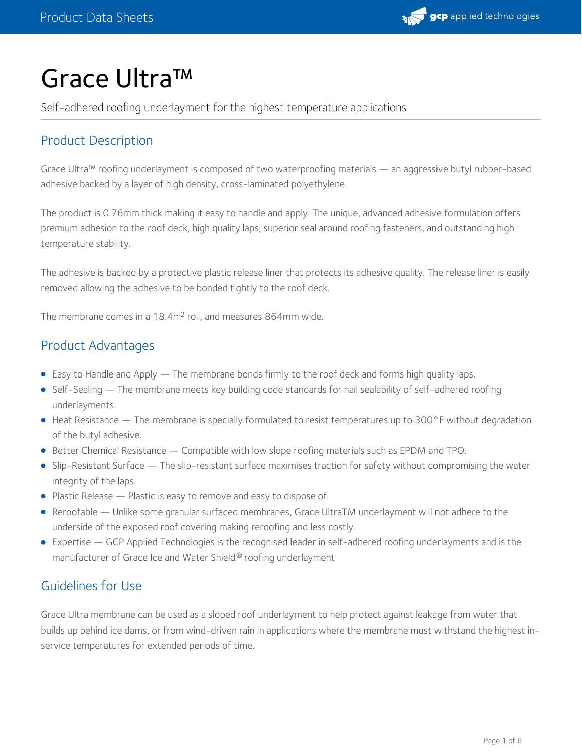

# Grace Ultra™

Self-adhered roofing underlayment for the highest temperature applications

# Product Description

Grace Ultra™ roofing underlayment is composed of two waterproofing materials — an aggressive butyl rubber-based adhesive backed by a layer of high density, cross-laminated polyethylene.

The product is 0.76mm thick making it easy to handle and apply. The unique, advanced adhesive formulation offers premium adhesion to the roof deck, high quality laps, superior seal around roofing fasteners, and outstanding high temperature stability.

The adhesive is backed by a protective plastic release liner that protects its adhesive quality. The release liner is easily removed allowing the adhesive to be bonded tightly to the roof deck.

The membrane comes in a 18.4 $m<sup>2</sup>$  roll, and measures 864mm wide.

## Product Advantages

- Easy to Handle and Apply The membrane bonds firmly to the roof deck and forms high quality laps.
- Self-Sealing The membrane meets key building code standards for nail sealability of self-adhered roofing underlayments.
- Heat Resistance The membrane is specially formulated to resist temperatures up to 300°F without degradation of the butyl adhesive.
- **Better Chemical Resistance Compatible with low slope roofing materials such as EPDM and TPO.**
- Slip-Resistant Surface The slip-resistant surface maximises traction for safety without compromising the water integrity of the laps.
- Plastic Release Plastic is easy to remove and easy to dispose of.
- Reroofable Unlike some granular surfaced membranes, Grace UltraTM underlayment will not adhere to the underside of the exposed roof covering making reroofing and less costly.
- Expertise GCP Applied Technologies is the recognised leader in self-adhered roofing underlayments and is the manufacturer of Grace Ice and Water Shield® roofing underlayment

## Guidelines for Use

Grace Ultra membrane can be used as a sloped roof underlayment to help protect against leakage from water that builds up behind ice dams, or from wind-driven rain in applications where the membrane must withstand the highest inservice temperatures for extended periods of time.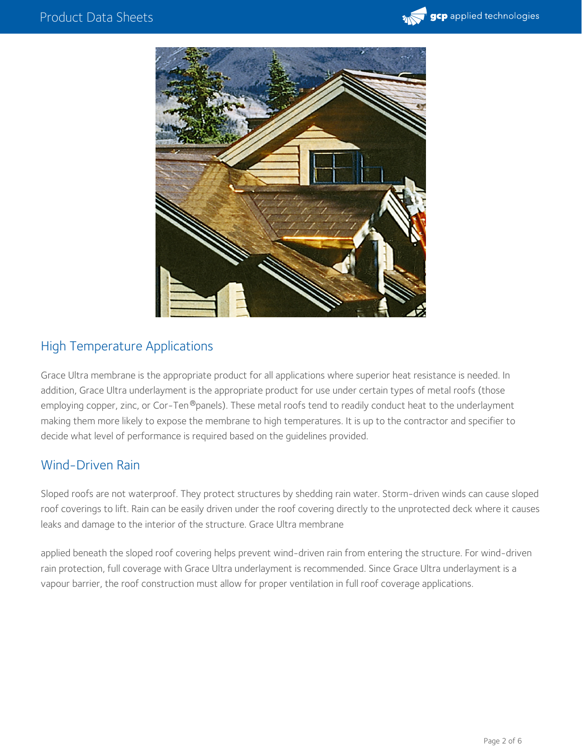



## High Temperature Applications

Grace Ultra membrane is the appropriate product for all applications where superior heat resistance is needed. In addition, Grace Ultra underlayment is the appropriate product for use under certain types of metal roofs (those employing copper, zinc, or Cor-Ten®panels). These metal roofs tend to readily conduct heat to the underlayment making them more likely to expose the membrane to high temperatures. It is up to the contractor and specifier to decide what level of performance is required based on the guidelines provided.

## Wind-Driven Rain

Sloped roofs are not waterproof. They protect structures by shedding rain water. Storm-driven winds can cause sloped roof coverings to lift. Rain can be easily driven under the roof covering directly to the unprotected deck where it causes leaks and damage to the interior of the structure. Grace Ultra membrane

applied beneath the sloped roof covering helps prevent wind-driven rain from entering the structure. For wind-driven rain protection, full coverage with Grace Ultra underlayment is recommended. Since Grace Ultra underlayment is a vapour barrier, the roof construction must allow for proper ventilation in full roof coverage applications.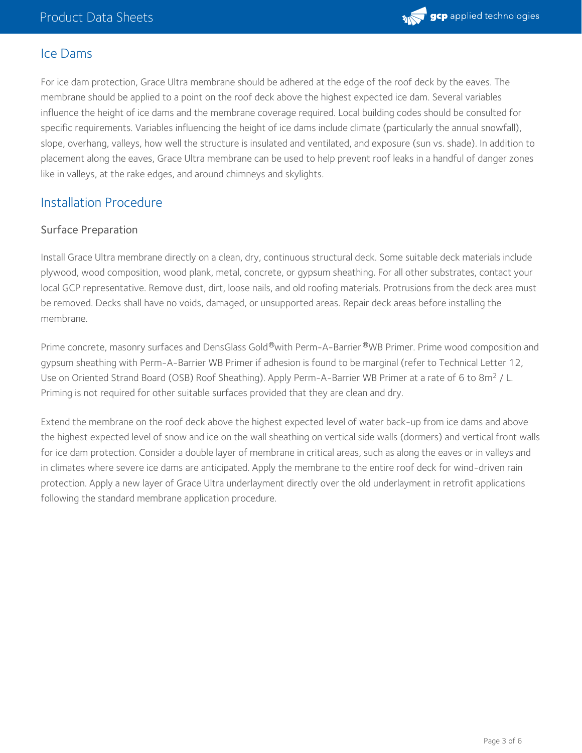

## Ice Dams

For ice dam protection, Grace Ultra membrane should be adhered at the edge of the roof deck by the eaves. The membrane should be applied to a point on the roof deck above the highest expected ice dam. Several variables influence the height of ice dams and the membrane coverage required. Local building codes should be consulted for specific requirements. Variables influencing the height of ice dams include climate (particularly the annual snowfall), slope, overhang, valleys, how well the structure is insulated and ventilated, and exposure (sun vs. shade). In addition to placement along the eaves, Grace Ultra membrane can be used to help prevent roof leaks in a handful of danger zones like in valleys, at the rake edges, and around chimneys and skylights.

## Installation Procedure

#### Surface Preparation

Install Grace Ultra membrane directly on a clean, dry, continuous structural deck. Some suitable deck materials include plywood, wood composition, wood plank, metal, concrete, or gypsum sheathing. For all other substrates, contact your local GCP representative. Remove dust, dirt, loose nails, and old roofing materials. Protrusions from the deck area must be removed. Decks shall have no voids, damaged, or unsupported areas. Repair deck areas before installing the membrane.

Prime concrete, masonry surfaces and DensGlass Gold®with Perm-A-Barrier®WB Primer. Prime wood composition and gypsum sheathing with Perm-A-Barrier WB Primer if adhesion is found to be marginal (refer to Technical Letter 12, Use on Oriented Strand Board (OSB) Roof Sheathing). Apply Perm-A-Barrier WB Primer at a rate of 6 to 8m<sup>2</sup> / L.<br>Priming is not required for other suitable surfaces provided that they are clean and dry.

Extend the membrane on the roof deck above the highest expected level of water back-up from ice dams and above the highest expected level of snow and ice on the wall sheathing on vertical side walls (dormers) and vertical front walls for ice dam protection. Consider a double layer of membrane in critical areas, such as along the eaves or in valleys and in climates where severe ice dams are anticipated. Apply the membrane to the entire roof deck for wind-driven rain protection. Apply a new layer of Grace Ultra underlayment directly over the old underlayment in retrofit applications following the standard membrane application procedure.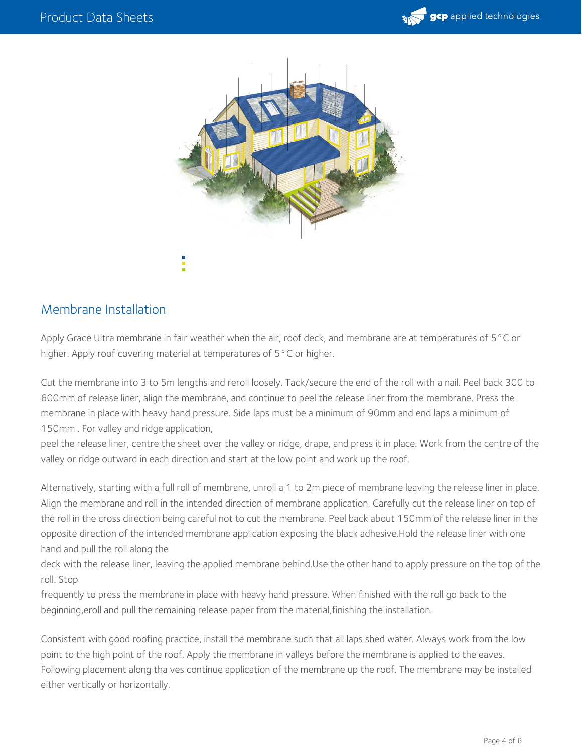



# Membrane Installation

Apply Grace Ultra membrane in fair weather when the air, roof deck, and membrane are at temperatures of 5 °C or higher. Apply roof covering material at temperatures of 5°C or higher.

Cut the membrane into 3 to 5m lengths and reroll loosely. Tack/secure the end of the roll with a nail. Peel back 300 to 600mm of release liner, align the membrane, and continue to peel the release liner from the membrane. Press the membrane in place with heavy hand pressure. Side laps must be a minimum of 90mm and end laps a minimum of 150mm . For valley and ridge application,

peel the release liner, centre the sheet over the valley or ridge, drape, and press it in place. Work from the centre of the valley or ridge outward in each direction and start at the low point and work up the roof.

Alternatively, starting with a full roll of membrane, unroll a 1 to 2m piece of membrane leaving the release liner in place. Align the membrane and roll in the intended direction of membrane application. Carefully cut the release liner on top of the roll in the cross direction being careful not to cut the membrane. Peel back about 150mm of the release liner in the opposite direction of the intended membrane application exposing the black adhesive.Hold the release liner with one hand and pull the roll along the

deck with the release liner, leaving the applied membrane behind.Use the other hand to apply pressure on the top of the roll. Stop

frequently to press the membrane in place with heavy hand pressure. When finished with the roll go back to the beginning,eroll and pull the remaining release paper from the material,finishing the installation.

Consistent with good roofing practice, install the membrane such that all laps shed water. Always work from the low point to the high point of the roof. Apply the membrane in valleys before the membrane is applied to the eaves. Following placement along tha ves continue application of the membrane up the roof. The membrane may be installed either vertically or horizontally.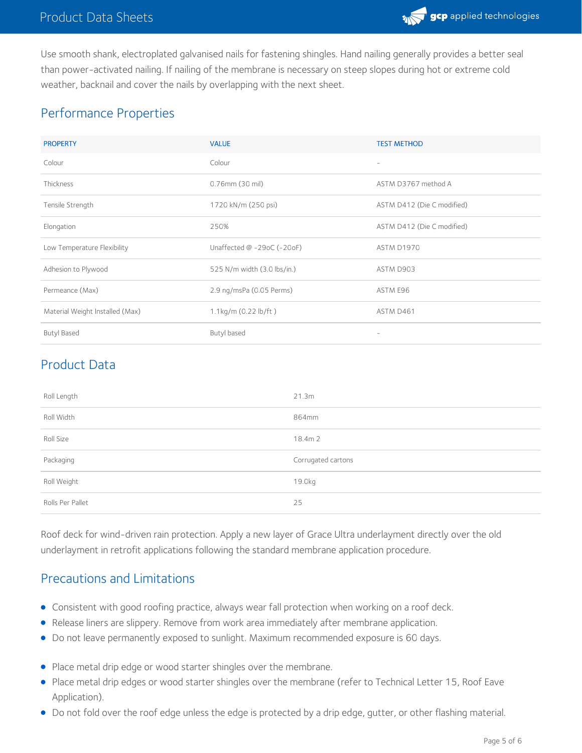

Use smooth shank, electroplated galvanised nails for fastening shingles. Hand nailing generally provides a better seal than power-activated nailing. If nailing of the membrane is necessary on steep slopes during hot or extreme cold weather, backnail and cover the nails by overlapping with the next sheet.

## Performance Properties

| <b>PROPERTY</b>                 | <b>VALUE</b>                   | <b>TEST METHOD</b>         |
|---------------------------------|--------------------------------|----------------------------|
| Colour                          | Colour                         | $\overline{\phantom{a}}$   |
| Thickness                       | $0.76$ mm $(30$ mil)           | ASTM D3767 method A        |
| Tensile Strength                | 1720 kN/m (250 psi)            | ASTM D412 (Die C modified) |
| Elongation                      | 250%                           | ASTM D412 (Die C modified) |
| Low Temperature Flexibility     | Unaffected $@ -29$ oC (-20oF)  | ASTM D1970                 |
| Adhesion to Plywood             | 525 N/m width (3.0 lbs/in.)    | ASTM D903                  |
| Permeance (Max)                 | 2.9 ng/msPa (0.05 Perms)       | ASTM E96                   |
| Material Weight Installed (Max) | 1.1kg/m $(0.22 \text{ lb/ft})$ | ASTM D461                  |
| <b>Butyl Based</b>              | Butyl based                    | $\overline{\phantom{a}}$   |

# Product Data

| Roll Length      | 21.3m              |
|------------------|--------------------|
| Roll Width       | 864mm              |
| Roll Size        | 18.4m 2            |
| Packaging        | Corrugated cartons |
| Roll Weight      | 19.0kg             |
| Rolls Per Pallet | 25                 |

Roof deck for wind-driven rain protection. Apply a new layer of Grace Ultra underlayment directly over the old underlayment in retrofit applications following the standard membrane application procedure.

## Precautions and Limitations

- Consistent with good roofing practice, always wear fall protection when working on a roof deck.
- Release liners are slippery. Remove from work area immediately after membrane application.
- Do not leave permanently exposed to sunlight. Maximum recommended exposure is 60 days.
- Place metal drip edge or wood starter shingles over the membrane.
- Place metal drip edges or wood starter shingles over the membrane (refer to Technical Letter 15, Roof Eave Application).
- Do not fold over the roof edge unless the edge is protected by a drip edge, gutter, or other flashing material.